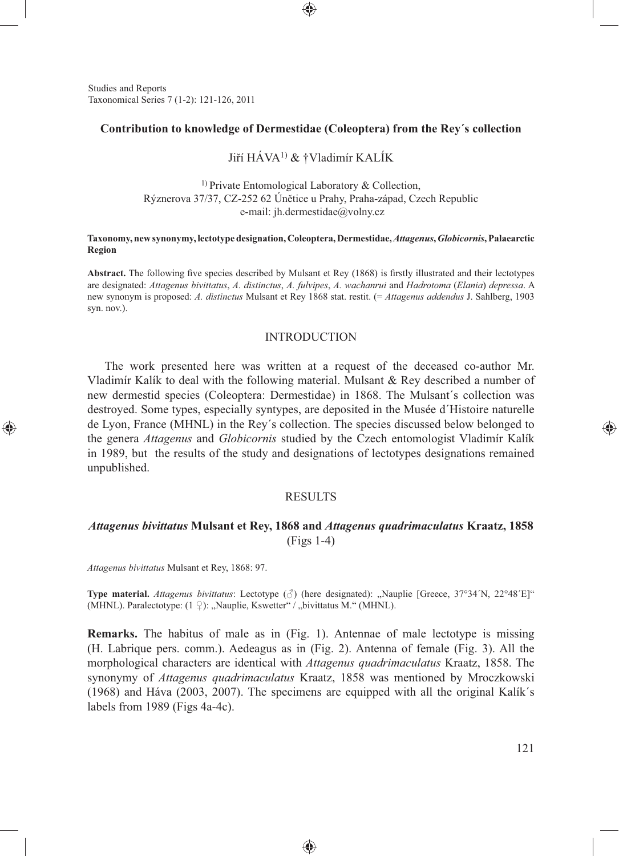Studies and Reports Taxonomical Series 7 (1-2): 121-126, 2011

#### **Contribution to knowledge of Dermestidae (Coleoptera) from the Rey´s collection**

⊕

# Jiří HÁVA1) & †Vladimír KALÍK

 $1)$  Private Entomological Laboratory & Collection, Rýznerova 37/37, CZ-252 62 Únětice u Prahy, Praha-západ, Czech Republic e-mail: jh.dermestidae@volny.cz

#### **Taxonomy, new synonymy, lectotype designation, Coleoptera, Dermestidae,** *Attagenus***,** *Globicornis***, Palaearctic Region**

Abstract. The following five species described by Mulsant et Rey (1868) is firstly illustrated and their lectotypes are designated: *Attagenus bivittatus*, *A. distinctus*, *A. fulvipes*, *A. wachanrui* and *Hadrotoma* (*Elania*) *depressa*. A new synonym is proposed: *A. distinctus* Mulsant et Rey 1868 stat. restit. (= *Attagenus addendus* J. Sahlberg, 1903 syn. nov.).

#### **INTRODUCTION**

The work presented here was written at a request of the deceased co-author Mr. Vladimír Kalík to deal with the following material. Mulsant  $\&$  Rey described a number of new dermestid species (Coleoptera: Dermestidae) in 1868. The Mulsant´s collection was destroyed. Some types, especially syntypes, are deposited in the Musée d´Histoire naturelle de Lyon, France (MHNL) in the Rey´s collection. The species discussed below belonged to the genera *Attagenus* and *Globicornis* studied by the Czech entomologist Vladimír Kalík in 1989, but the results of the study and designations of lectotypes designations remained unpublished.

### RESULTS

### *Attagenus bivittatus* **Mulsant et Rey, 1868 and** *Attagenus quadrimaculatus* **Kraatz, 1858** (Figs 1-4)

*Attagenus bivittatus* Mulsant et Rey, 1868: 97.

⊕

**Type material.** *Attagenus bivittatus*: Lectotype ( $\beta$ ) (here designated): "Nauplie [Greece, 37°34´N, 22°48´E]" (MHNL). Paralectotype:  $(1 \nsubseteq)$ : "Nauplie, Kswetter" / "bivittatus M." (MHNL).

**Remarks.** The habitus of male as in (Fig. 1). Antennae of male lectotype is missing (H. Labrique pers. comm.). Aedeagus as in (Fig. 2). Antenna of female (Fig. 3). All the morphological characters are identical with *Attagenus quadrimaculatus* Kraatz, 1858. The synonymy of *Attagenus quadrimaculatus* Kraatz, 1858 was mentioned by Mroczkowski (1968) and Háva (2003, 2007). The specimens are equipped with all the original Kalík´s labels from 1989 (Figs 4a-4c).

◈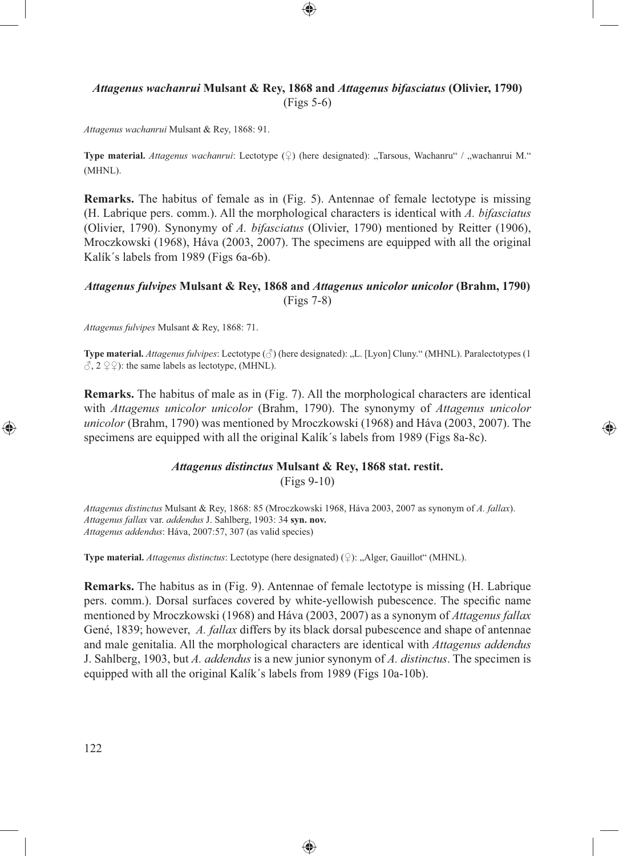# *Attagenus wachanrui* **Mulsant & Rey, 1868 and** *Attagenus bifasciatus* **(Olivier, 1790)** (Figs 5-6)

⊕

*Attagenus wachanrui* Mulsant & Rey, 1868: 91.

**Type material.** *Attagenus wachanrui*: Lectotype (♀) (here designated): "Tarsous, Wachanru" / "wachanrui M." (MHNL).

**Remarks.** The habitus of female as in (Fig. 5). Antennae of female lectotype is missing (H. Labrique pers. comm.). All the morphological characters is identical with *A. bifasciatus* (Olivier, 1790). Synonymy of *A. bifasciatus* (Olivier, 1790) mentioned by Reitter (1906), Mroczkowski (1968), Háva (2003, 2007). The specimens are equipped with all the original Kalík´s labels from 1989 (Figs 6a-6b).

## *Attagenus fulvipes* **Mulsant & Rey, 1868 and** *Attagenus unicolor unicolor* **(Brahm, 1790)** (Figs 7-8)

*Attagenus fulvipes* Mulsant & Rey, 1868: 71.

**Type material.** *Attagenus fulvipes*: Lectotype (♂) (here designated): "L. [Lyon] Cluny." (MHNL). Paralectotypes (1  $\hat{\wedge}$ , 2  $\hat{2}$   $\hat{2}$  : the same labels as lectotype, (MHNL).

**Remarks.** The habitus of male as in (Fig. 7). All the morphological characters are identical with *Attagenus unicolor unicolor* (Brahm, 1790). The synonymy of *Attagenus unicolor unicolor* (Brahm, 1790) was mentioned by Mroczkowski (1968) and Háva (2003, 2007). The specimens are equipped with all the original Kalík´s labels from 1989 (Figs 8a-8c).

⊕

### *Attagenus distinctus* **Mulsant & Rey, 1868 stat. restit.** (Figs 9-10)

*Attagenus distinctus* Mulsant & Rey, 1868: 85 (Mroczkowski 1968, Háva 2003, 2007 as synonym of *A. fallax*). *Attagenus fallax* var. *addendus* J. Sahlberg, 1903: 34 **syn. nov.** *Attagenus addendus*: Háva, 2007:57, 307 (as valid species)

Type material. *Attagenus distinctus*: Lectotype (here designated) (♀): "Alger, Gauillot" (MHNL).

**Remarks.** The habitus as in (Fig. 9). Antennae of female lectotype is missing (H. Labrique pers. comm.). Dorsal surfaces covered by white-yellowish pubescence. The specific name mentioned by Mroczkowski (1968) and Háva (2003, 2007) as a synonym of *Attagenus fallax* Gené, 1839; however, *A. fallax* differs by its black dorsal pubescence and shape of antennae and male genitalia. All the morphological characters are identical with *Attagenus addendus* J. Sahlberg, 1903, but *A. addendus* is a new junior synonym of *A. distinctus*. The specimen is equipped with all the original Kalík´s labels from 1989 (Figs 10a-10b).

⊕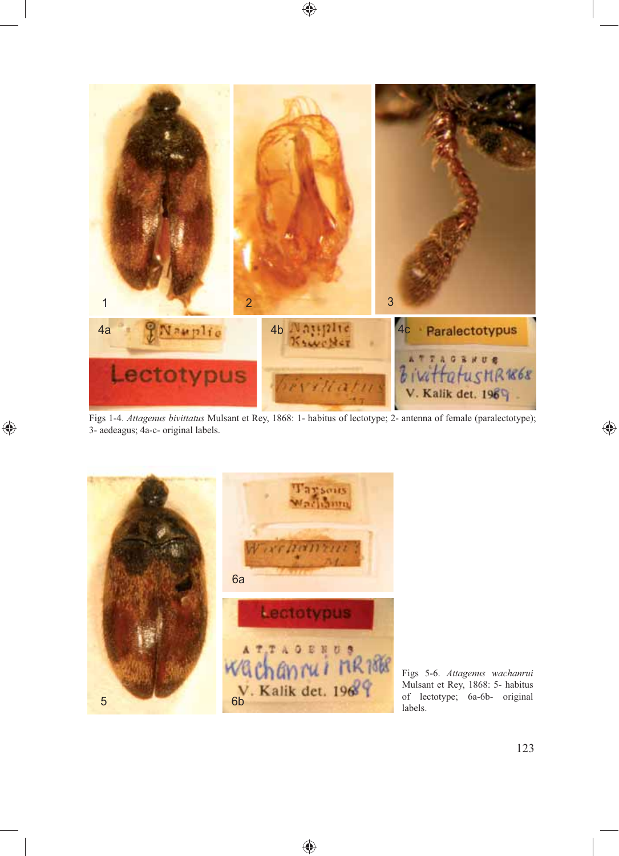

 $\bigoplus$ 

Figs 1-4. *Attagenus bivittatus* Mulsant et Rey, 1868: 1- habitus of lectotype; 2- antenna of female (paralectotype); 3- aedeagus; 4a-c- original labels.

⊕



 $\bigoplus$ 

Figs 5-6. *Attagenus wachanrui* Mulsant et Rey, 1868: 5- habitus of lectotype; 6a-6b- original

 $\bigoplus$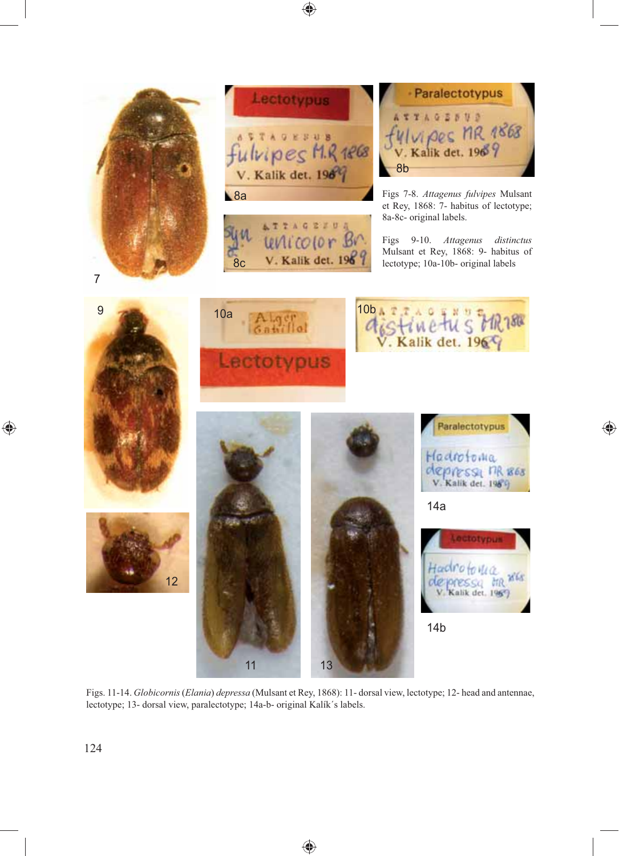

◈

 $\bigoplus$ 

Figs. 11-14. *Globicornis* (*Elania*) *depressa* (Mulsant et Rey, 1868): 11- dorsal view, lectotype; 12- head and antennae, lectotype; 13- dorsal view, paralectotype; 14a-b- original Kalík´s labels.

◈

◈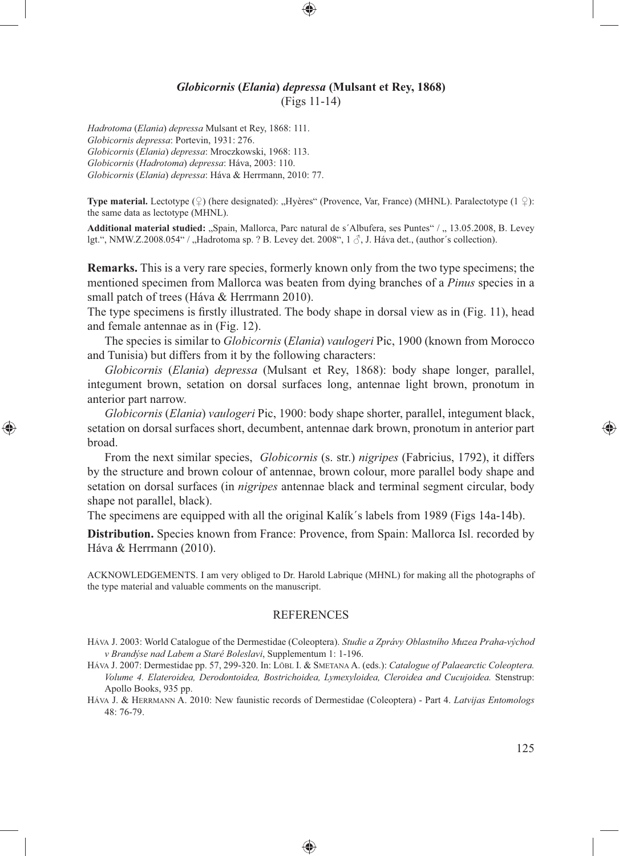## *Globicornis* **(***Elania***)** *depressa* **(Mulsant et Rey, 1868)** (Figs 11-14)

⊕

*Hadrotoma* (*Elania*) *depressa* Mulsant et Rey, 1868: 111. *Globicornis depressa*: Portevin, 1931: 276. *Globicornis* (*Elania*) *depressa*: Mroczkowski, 1968: 113. *Globicornis* (*Hadrotoma*) *depressa*: Háva, 2003: 110. *Globicornis* (*Elania*) *depressa*: Háva & Herrmann, 2010: 77.

⊕

**Type material.** Lectotype (♀) (here designated): "Hyères" (Provence, Var, France) (MHNL). Paralectotype (1 ♀): the same data as lectotype (MHNL).

Additional material studied: ..Spain, Mallorca, Parc natural de s'Albufera, ses Puntes" / ., 13.05.2008, B. Levey lgt.", NMW.Z.2008.054" / "Hadrotoma sp. ? B. Levey det. 2008",  $1 \text{ }\partial$ , J. Háva det., (author's collection).

**Remarks.** This is a very rare species, formerly known only from the two type specimens; the mentioned specimen from Mallorca was beaten from dying branches of a *Pinus* species in a small patch of trees (Háva & Herrmann 2010).

The type specimens is firstly illustrated. The body shape in dorsal view as in (Fig. 11), head and female antennae as in (Fig. 12).

The species is similar to *Globicornis* (*Elania*) *vaulogeri* Pic, 1900 (known from Morocco and Tunisia) but differs from it by the following characters:

*Globicornis* (*Elania*) *depressa* (Mulsant et Rey, 1868): body shape longer, parallel, integument brown, setation on dorsal surfaces long, antennae light brown, pronotum in anterior part narrow.

*Globicornis* (*Elania*) *vaulogeri* Pic, 1900: body shape shorter, parallel, integument black, setation on dorsal surfaces short, decumbent, antennae dark brown, pronotum in anterior part broad.

From the next similar species, *Globicornis* (s. str.) *nigripes* (Fabricius, 1792), it differs by the structure and brown colour of antennae, brown colour, more parallel body shape and setation on dorsal surfaces (in *nigripes* antennae black and terminal segment circular, body shape not parallel, black).

The specimens are equipped with all the original Kalík´s labels from 1989 (Figs 14a-14b).

**Distribution.** Species known from France: Provence, from Spain: Mallorca Isl. recorded by Háva & Herrmann (2010).

ACKNOWLEDGEMENTS. I am very obliged to Dr. Harold Labrique (MHNL) for making all the photographs of the type material and valuable comments on the manuscript.

#### REFERENCES

- HÁVA J. 2003: World Catalogue of the Dermestidae (Coleoptera). *Studie a Zprávy Oblastního Muzea Praha-východ v Brandýse nad Labem a Staré Boleslavi*, Supplementum 1: 1-196.
- HÁVA J. 2007: Dermestidae pp. 57, 299-320. In: LÖBL I. & SMETANA A. (eds.): *Catalogue of Palaearctic Coleoptera. Volume 4. Elateroidea, Derodontoidea, Bostrichoidea, Lymexyloidea, Cleroidea and Cucujoidea.* Stenstrup: Apollo Books, 935 pp.
- HÁVA J. & HERRMANN A. 2010: New faunistic records of Dermestidae (Coleoptera) Part 4. *Latvijas Entomologs*  48: 76-79.

⊕